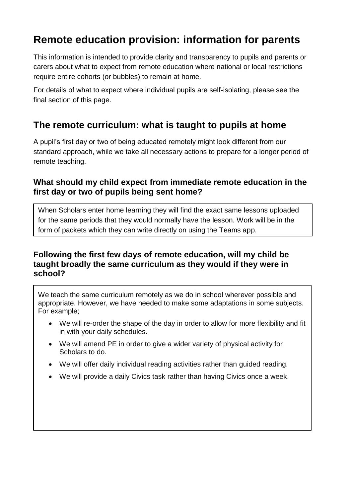# **Remote education provision: information for parents**

This information is intended to provide clarity and transparency to pupils and parents or carers about what to expect from remote education where national or local restrictions require entire cohorts (or bubbles) to remain at home.

For details of what to expect where individual pupils are self-isolating, please see the final section of this page.

### **The remote curriculum: what is taught to pupils at home**

A pupil's first day or two of being educated remotely might look different from our standard approach, while we take all necessary actions to prepare for a longer period of remote teaching.

#### **What should my child expect from immediate remote education in the first day or two of pupils being sent home?**

When Scholars enter home learning they will find the exact same lessons uploaded for the same periods that they would normally have the lesson. Work will be in the form of packets which they can write directly on using the Teams app.

### **Following the first few days of remote education, will my child be taught broadly the same curriculum as they would if they were in school?**

We teach the same curriculum remotely as we do in school wherever possible and appropriate. However, we have needed to make some adaptations in some subjects. For example;

- We will re-order the shape of the day in order to allow for more flexibility and fit in with your daily schedules.
- We will amend PE in order to give a wider variety of physical activity for Scholars to do.
- We will offer daily individual reading activities rather than guided reading.
- We will provide a daily Civics task rather than having Civics once a week.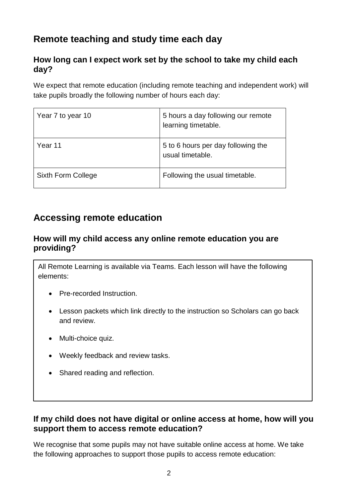## **Remote teaching and study time each day**

### **How long can I expect work set by the school to take my child each day?**

We expect that remote education (including remote teaching and independent work) will take pupils broadly the following number of hours each day:

| Year 7 to year 10  | 5 hours a day following our remote<br>learning timetable. |
|--------------------|-----------------------------------------------------------|
| Year 11            | 5 to 6 hours per day following the<br>usual timetable.    |
| Sixth Form College | Following the usual timetable.                            |

## **Accessing remote education**

### **How will my child access any online remote education you are providing?**

All Remote Learning is available via Teams. Each lesson will have the following elements:

- Pre-recorded Instruction.
- Lesson packets which link directly to the instruction so Scholars can go back and review.
- Multi-choice quiz.
- Weekly feedback and review tasks.
- Shared reading and reflection.

### **If my child does not have digital or online access at home, how will you support them to access remote education?**

We recognise that some pupils may not have suitable online access at home. We take the following approaches to support those pupils to access remote education: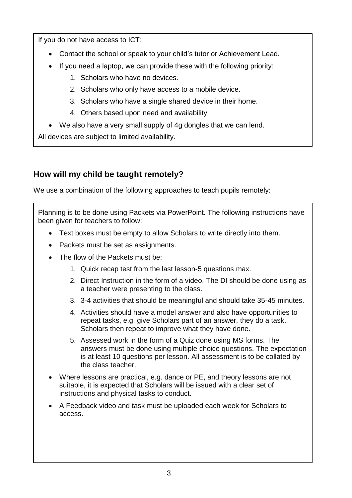If you do not have access to ICT:

- Contact the school or speak to your child's tutor or Achievement Lead.
- If you need a laptop, we can provide these with the following priority:
	- 1. Scholars who have no devices.
	- 2. Scholars who only have access to a mobile device.
	- 3. Scholars who have a single shared device in their home.
	- 4. Others based upon need and availability.
- We also have a very small supply of 4g dongles that we can lend.

All devices are subject to limited availability.

### **How will my child be taught remotely?**

We use a combination of the following approaches to teach pupils remotely:

Planning is to be done using Packets via PowerPoint. The following instructions have been given for teachers to follow:

- Text boxes must be empty to allow Scholars to write directly into them.
- Packets must be set as assignments.
- The flow of the Packets must be:
	- 1. Quick recap test from the last lesson-5 questions max.
	- 2. Direct Instruction in the form of a video. The DI should be done using as a teacher were presenting to the class.
	- 3. 3-4 activities that should be meaningful and should take 35-45 minutes.
	- 4. Activities should have a model answer and also have opportunities to repeat tasks, e.g. give Scholars part of an answer, they do a task. Scholars then repeat to improve what they have done.
	- 5. Assessed work in the form of a Quiz done using MS forms. The answers must be done using multiple choice questions, The expectation is at least 10 questions per lesson. All assessment is to be collated by the class teacher.
- Where lessons are practical, e.g. dance or PE, and theory lessons are not suitable, it is expected that Scholars will be issued with a clear set of instructions and physical tasks to conduct.
- A Feedback video and task must be uploaded each week for Scholars to access.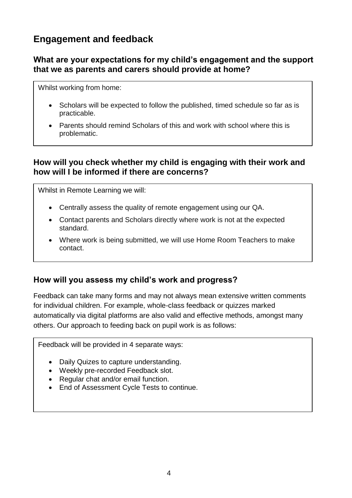### **Engagement and feedback**

### **What are your expectations for my child's engagement and the support that we as parents and carers should provide at home?**

Whilst working from home:

- Scholars will be expected to follow the published, timed schedule so far as is practicable.
- Parents should remind Scholars of this and work with school where this is problematic.

#### **How will you check whether my child is engaging with their work and how will I be informed if there are concerns?**

Whilst in Remote Learning we will:

- Centrally assess the quality of remote engagement using our QA.
- Contact parents and Scholars directly where work is not at the expected standard.
- Where work is being submitted, we will use Home Room Teachers to make contact.

#### **How will you assess my child's work and progress?**

Feedback can take many forms and may not always mean extensive written comments for individual children. For example, whole-class feedback or quizzes marked automatically via digital platforms are also valid and effective methods, amongst many others. Our approach to feeding back on pupil work is as follows:

Feedback will be provided in 4 separate ways:

- Daily Quizes to capture understanding.
- Weekly pre-recorded Feedback slot.
- Regular chat and/or email function.
- End of Assessment Cycle Tests to continue.